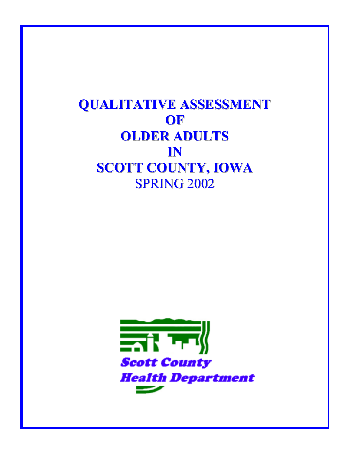# **QUALITATIVE ASSESSMENT OF OLDER ADULTS**  $\mathbf{I}$ N **SCOTT COUNTY, IOWA SPRING 2002**

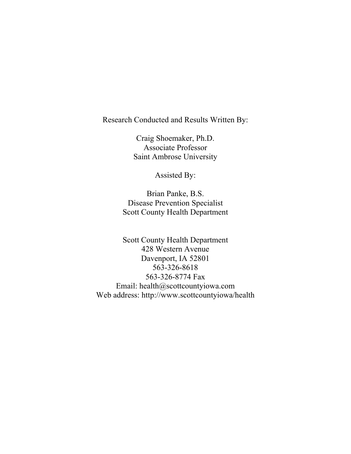Research Conducted and Results Written By:

Craig Shoemaker, Ph.D. Associate Professor Saint Ambrose University

Assisted By:

Brian Panke, B.S. Disease Prevention Specialist Scott County Health Department

Scott County Health Department 428 Western Avenue Davenport, IA 52801 563-326-8618 563-326-8774 Fax Email: health@scottcountyiowa.com Web address: http://www.scottcountyiowa/health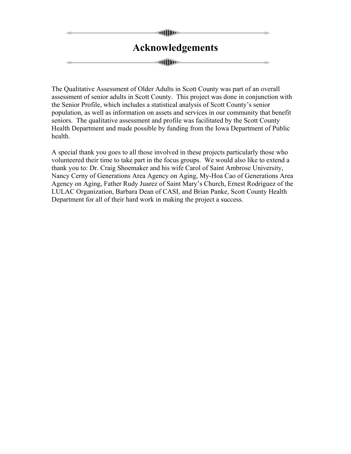# **allling Acknowledgements alling**

The Qualitative Assessment of Older Adults in Scott County was part of an overall assessment of senior adults in Scott County. This project was done in conjunction with the Senior Profile, which includes a statistical analysis of Scott County's senior population, as well as information on assets and services in our community that benefit seniors. The qualitative assessment and profile was facilitated by the Scott County Health Department and made possible by funding from the Iowa Department of Public health.

A special thank you goes to all those involved in these projects particularly those who volunteered their time to take part in the focus groups. We would also like to extend a thank you to: Dr. Craig Shoemaker and his wife Carol of Saint Ambrose University, Nancy Cerny of Generations Area Agency on Aging, My-Hoa Cao of Generations Area Agency on Aging, Father Rudy Juarez of Saint Mary's Church, Ernest Rodriguez of the LULAC Organization, Barbara Dean of CASI, and Brian Panke, Scott County Health Department for all of their hard work in making the project a success.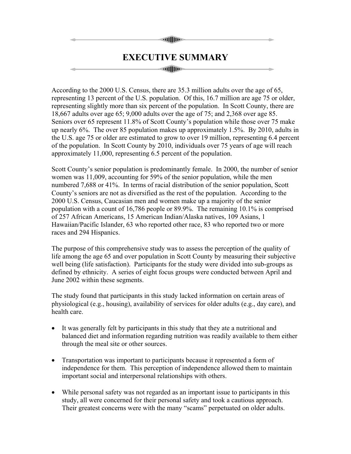# **all**lling **EXECUTIVE SUMMARY alling**

According to the 2000 U.S. Census, there are 35.3 million adults over the age of 65, representing 13 percent of the U.S. population. Of this, 16.7 million are age 75 or older, representing slightly more than six percent of the population. In Scott County, there are 18,667 adults over age 65; 9,000 adults over the age of 75; and 2,368 over age 85. Seniors over 65 represent 11.8% of Scott County's population while those over 75 make up nearly 6%. The over 85 population makes up approximately 1.5%. By 2010, adults in the U.S. age 75 or older are estimated to grow to over 19 million, representing 6.4 percent of the population. In Scott County by 2010, individuals over 75 years of age will reach approximately 11,000, representing 6.5 percent of the population.

Scott County's senior population is predominantly female. In 2000, the number of senior women was 11,009, accounting for 59% of the senior population, while the men numbered 7,688 or 41%. In terms of racial distribution of the senior population, Scott County's seniors are not as diversified as the rest of the population. According to the 2000 U.S. Census, Caucasian men and women make up a majority of the senior population with a count of 16,786 people or 89.9%. The remaining 10.1% is comprised of 257 African Americans, 15 American Indian/Alaska natives, 109 Asians, 1 Hawaiian/Pacific Islander, 63 who reported other race, 83 who reported two or more races and 294 Hispanics.

The purpose of this comprehensive study was to assess the perception of the quality of life among the age 65 and over population in Scott County by measuring their subjective well being (life satisfaction). Participants for the study were divided into sub-groups as defined by ethnicity. A series of eight focus groups were conducted between April and June 2002 within these segments.

The study found that participants in this study lacked information on certain areas of physiological (e.g., housing), availability of services for older adults (e.g., day care), and health care.

- It was generally felt by participants in this study that they ate a nutritional and balanced diet and information regarding nutrition was readily available to them either through the meal site or other sources.
- Transportation was important to participants because it represented a form of independence for them. This perception of independence allowed them to maintain important social and interpersonal relationships with others.
- While personal safety was not regarded as an important issue to participants in this study, all were concerned for their personal safety and took a cautious approach. Their greatest concerns were with the many "scams" perpetuated on older adults.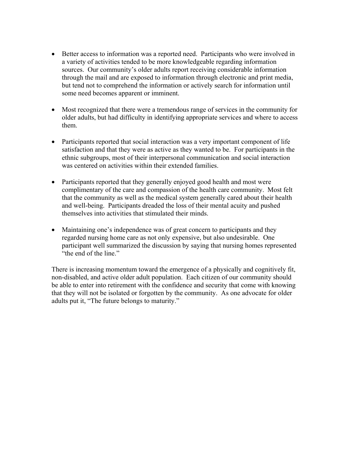- Better access to information was a reported need. Participants who were involved in a variety of activities tended to be more knowledgeable regarding information sources. Our community's older adults report receiving considerable information through the mail and are exposed to information through electronic and print media, but tend not to comprehend the information or actively search for information until some need becomes apparent or imminent.
- Most recognized that there were a tremendous range of services in the community for older adults, but had difficulty in identifying appropriate services and where to access them.
- Participants reported that social interaction was a very important component of life satisfaction and that they were as active as they wanted to be. For participants in the ethnic subgroups, most of their interpersonal communication and social interaction was centered on activities within their extended families.
- Participants reported that they generally enjoyed good health and most were complimentary of the care and compassion of the health care community. Most felt that the community as well as the medical system generally cared about their health and well-being. Participants dreaded the loss of their mental acuity and pushed themselves into activities that stimulated their minds.
- Maintaining one's independence was of great concern to participants and they regarded nursing home care as not only expensive, but also undesirable. One participant well summarized the discussion by saying that nursing homes represented "the end of the line."

There is increasing momentum toward the emergence of a physically and cognitively fit, non-disabled, and active older adult population. Each citizen of our community should be able to enter into retirement with the confidence and security that come with knowing that they will not be isolated or forgotten by the community. As one advocate for older adults put it, "The future belongs to maturity."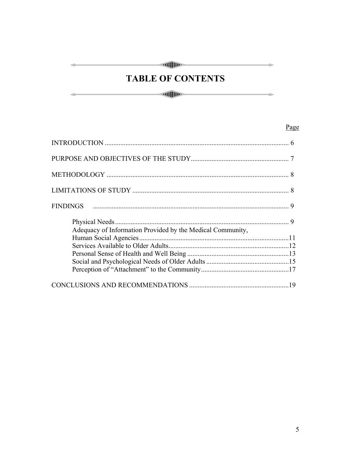## 

## **TABLE OF CONTENTS**

 $\begin{tabular}{c} \hline \rule{0pt}{2.5ex} \rule{0pt}{2.5ex} \rule{0pt}{2.5ex} \rule{0pt}{2.5ex} \rule{0pt}{2.5ex} \rule{0pt}{2.5ex} \rule{0pt}{2.5ex} \rule{0pt}{2.5ex} \rule{0pt}{2.5ex} \rule{0pt}{2.5ex} \rule{0pt}{2.5ex} \rule{0pt}{2.5ex} \rule{0pt}{2.5ex} \rule{0pt}{2.5ex} \rule{0pt}{2.5ex} \rule{0pt}{2.5ex} \rule{0pt}{2.5ex} \rule{0pt}{2.5ex} \rule{0pt}{2.5ex}$ 

 $\rightarrow$ 

### Page

| Adequacy of Information Provided by the Medical Community, |  |
|------------------------------------------------------------|--|
|                                                            |  |
|                                                            |  |
|                                                            |  |
|                                                            |  |
|                                                            |  |
|                                                            |  |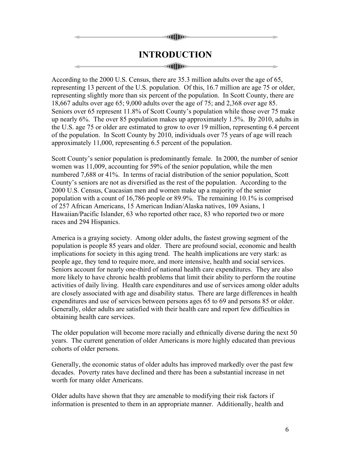#### **Hilling**

### **INTRODUCTION**

#### atfilio-

According to the 2000 U.S. Census, there are 35.3 million adults over the age of 65, representing 13 percent of the U.S. population. Of this, 16.7 million are age 75 or older, representing slightly more than six percent of the population. In Scott County, there are 18,667 adults over age 65; 9,000 adults over the age of 75; and 2,368 over age 85. Seniors over 65 represent 11.8% of Scott County's population while those over 75 make up nearly 6%. The over 85 population makes up approximately 1.5%. By 2010, adults in the U.S. age 75 or older are estimated to grow to over 19 million, representing 6.4 percent of the population. In Scott County by 2010, individuals over 75 years of age will reach approximately 11,000, representing 6.5 percent of the population.

Scott County's senior population is predominantly female. In 2000, the number of senior women was 11,009, accounting for 59% of the senior population, while the men numbered 7,688 or 41%. In terms of racial distribution of the senior population, Scott County's seniors are not as diversified as the rest of the population. According to the 2000 U.S. Census, Caucasian men and women make up a majority of the senior population with a count of 16,786 people or 89.9%. The remaining 10.1% is comprised of 257 African Americans, 15 American Indian/Alaska natives, 109 Asians, 1 Hawaiian/Pacific Islander, 63 who reported other race, 83 who reported two or more races and 294 Hispanics.

America is a graying society. Among older adults, the fastest growing segment of the population is people 85 years and older. There are profound social, economic and health implications for society in this aging trend. The health implications are very stark: as people age, they tend to require more, and more intensive, health and social services. Seniors account for nearly one-third of national health care expenditures. They are also more likely to have chronic health problems that limit their ability to perform the routine activities of daily living. Health care expenditures and use of services among older adults are closely associated with age and disability status. There are large differences in health expenditures and use of services between persons ages 65 to 69 and persons 85 or older. Generally, older adults are satisfied with their health care and report few difficulties in obtaining health care services.

The older population will become more racially and ethnically diverse during the next 50 years. The current generation of older Americans is more highly educated than previous cohorts of older persons.

Generally, the economic status of older adults has improved markedly over the past few decades. Poverty rates have declined and there has been a substantial increase in net worth for many older Americans.

Older adults have shown that they are amenable to modifying their risk factors if information is presented to them in an appropriate manner. Additionally, health and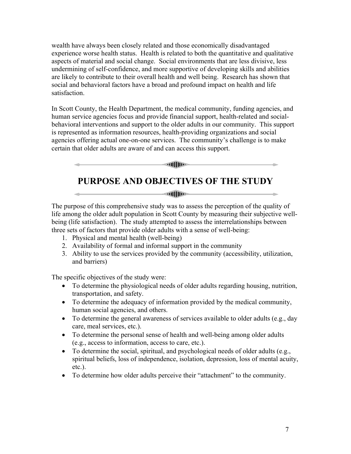wealth have always been closely related and those economically disadvantaged experience worse health status. Health is related to both the quantitative and qualitative aspects of material and social change. Social environments that are less divisive, less undermining of self-confidence, and more supportive of developing skills and abilities are likely to contribute to their overall health and well being. Research has shown that social and behavioral factors have a broad and profound impact on health and life satisfaction.

In Scott County, the Health Department, the medical community, funding agencies, and human service agencies focus and provide financial support, health-related and socialbehavioral interventions and support to the older adults in our community. This support is represented as information resources, health-providing organizations and social agencies offering actual one-on-one services. The community's challenge is to make certain that older adults are aware of and can access this support.

### **PURPOSE AND OBJECTIVES OF THE STUDY**

 $\sim$   $\sim$   $\sim$   $\sim$   $\sim$ 

The purpose of this comprehensive study was to assess the perception of the quality of life among the older adult population in Scott County by measuring their subjective wellbeing (life satisfaction). The study attempted to assess the interrelationships between three sets of factors that provide older adults with a sense of well-being:

- 1. Physical and mental health (well-being)
- 2. Availability of formal and informal support in the community
- 3. Ability to use the services provided by the community (accessibility, utilization, and barriers)

The specific objectives of the study were:

- To determine the physiological needs of older adults regarding housing, nutrition, transportation, and safety.
- To determine the adequacy of information provided by the medical community, human social agencies, and others.
- To determine the general awareness of services available to older adults (e.g., day care, meal services, etc.).
- To determine the personal sense of health and well-being among older adults (e.g., access to information, access to care, etc.).
- To determine the social, spiritual, and psychological needs of older adults (e.g., spiritual beliefs, loss of independence, isolation, depression, loss of mental acuity, etc.).
- To determine how older adults perceive their "attachment" to the community.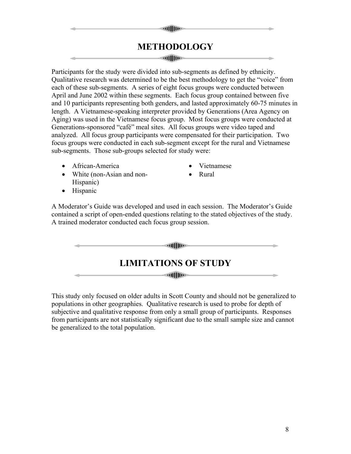### **METHODOLOGY**

**allIDE** 

#### **Auffiling**

Participants for the study were divided into sub-segments as defined by ethnicity. Qualitative research was determined to be the best methodology to get the "voice" from each of these sub-segments. A series of eight focus groups were conducted between April and June 2002 within these segments. Each focus group contained between five and 10 participants representing both genders, and lasted approximately 60-75 minutes in length. A Vietnamese-speaking interpreter provided by Generations (Area Agency on Aging) was used in the Vietnamese focus group. Most focus groups were conducted at Generations-sponsored "café" meal sites. All focus groups were video taped and analyzed. All focus group participants were compensated for their participation. Two focus groups were conducted in each sub-segment except for the rural and Vietnamese sub-segments. Those sub-groups selected for study were:

- African-America
- White (non-Asian and non-Hispanic)
- 

• Vietnamese • Rural

• Hispanic

A Moderator's Guide was developed and used in each session. The Moderator's Guide contained a script of open-ended questions relating to the stated objectives of the study. A trained moderator conducted each focus group session.

| <b>add</b> the              |  |
|-----------------------------|--|
| <b>LIMITATIONS OF STUDY</b> |  |
| <b>ad</b> []])              |  |

This study only focused on older adults in Scott County and should not be generalized to populations in other geographies. Qualitative research is used to probe for depth of subjective and qualitative response from only a small group of participants. Responses from participants are not statistically significant due to the small sample size and cannot be generalized to the total population.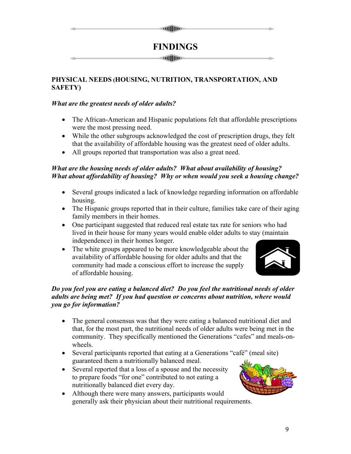# **all**lling

### **FINDINGS**

**all**lling

#### **PHYSICAL NEEDS (HOUSING, NUTRITION, TRANSPORTATION, AND SAFETY)**

#### *What are the greatest needs of older adults?*

- The African-American and Hispanic populations felt that affordable prescriptions were the most pressing need.
- While the other subgroups acknowledged the cost of prescription drugs, they felt that the availability of affordable housing was the greatest need of older adults.
- All groups reported that transportation was also a great need.

### *What are the housing needs of older adults? What about availability of housing? What about affordability of housing? Why or when would you seek a housing change?*

- Several groups indicated a lack of knowledge regarding information on affordable housing.
- The Hispanic groups reported that in their culture, families take care of their aging family members in their homes.
- One participant suggested that reduced real estate tax rate for seniors who had lived in their house for many years would enable older adults to stay (maintain independence) in their homes longer.
- The white groups appeared to be more knowledgeable about the availability of affordable housing for older adults and that the community had made a conscious effort to increase the supply of affordable housing.



#### *Do you feel you are eating a balanced diet? Do you feel the nutritional needs of older adults are being met? If you had question or concerns about nutrition, where would you go for information?*

- The general consensus was that they were eating a balanced nutritional diet and that, for the most part, the nutritional needs of older adults were being met in the community. They specifically mentioned the Generations "cafes" and meals-onwheels.
- Several participants reported that eating at a Generations "café" (meal site) guaranteed them a nutritionally balanced meal.
- Several reported that a loss of a spouse and the necessity to prepare foods "for one" contributed to not eating a nutritionally balanced diet every day.
- Although there were many answers, participants would generally ask their physician about their nutritional requirements.

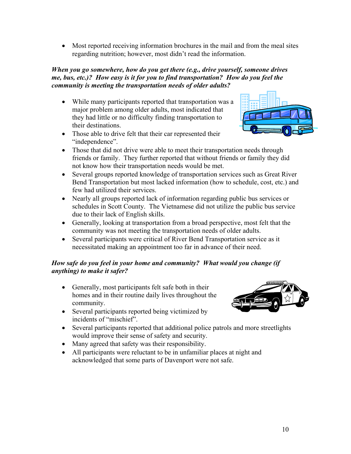• Most reported receiving information brochures in the mail and from the meal sites regarding nutrition; however, most didn't read the information.

#### *When you go somewhere, how do you get there (e.g., drive yourself, someone drives me, bus, etc.)? How easy is it for you to find transportation? How do you feel the community is meeting the transportation needs of older adults?*

• While many participants reported that transportation was a major problem among older adults, most indicated that they had little or no difficulty finding transportation to their destinations.



- Those able to drive felt that their car represented their "independence".
- Those that did not drive were able to meet their transportation needs through friends or family. They further reported that without friends or family they did not know how their transportation needs would be met.
- Several groups reported knowledge of transportation services such as Great River Bend Transportation but most lacked information (how to schedule, cost, etc.) and few had utilized their services.
- Nearly all groups reported lack of information regarding public bus services or schedules in Scott County. The Vietnamese did not utilize the public bus service due to their lack of English skills.
- Generally, looking at transportation from a broad perspective, most felt that the community was not meeting the transportation needs of older adults.
- Several participants were critical of River Bend Transportation service as it necessitated making an appointment too far in advance of their need.

#### *How safe do you feel in your home and community? What would you change (if anything) to make it safer?*

- Generally, most participants felt safe both in their homes and in their routine daily lives throughout the community.
- Several participants reported being victimized by incidents of "mischief".
- Several participants reported that additional police patrols and more streetlights would improve their sense of safety and security.
- Many agreed that safety was their responsibility.
- All participants were reluctant to be in unfamiliar places at night and acknowledged that some parts of Davenport were not safe.

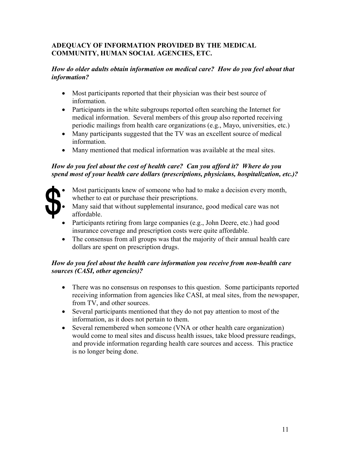#### **ADEQUACY OF INFORMATION PROVIDED BY THE MEDICAL COMMUNITY, HUMAN SOCIAL AGENCIES, ETC.**

#### *How do older adults obtain information on medical care? How do you feel about that information?*

- Most participants reported that their physician was their best source of information.
- Participants in the white subgroups reported often searching the Internet for medical information. Several members of this group also reported receiving periodic mailings from health care organizations (e.g., Mayo, universities, etc.)
- Many participants suggested that the TV was an excellent source of medical information.
- Many mentioned that medical information was available at the meal sites.

#### *How do you feel about the cost of health care? Can you afford it? Where do you spend most of your health care dollars (prescriptions, physicians, hospitalization, etc.)?*



- Most participants knew of someone who had to make a decision every month, whether to eat or purchase their prescriptions.
- Many said that without supplemental insurance, good medical care was not affordable.
- Participants retiring from large companies (e.g., John Deere, etc.) had good insurance coverage and prescription costs were quite affordable.
- The consensus from all groups was that the majority of their annual health care dollars are spent on prescription drugs.

#### *How do you feel about the health care information you receive from non-health care sources (CASI, other agencies)?*

- There was no consensus on responses to this question. Some participants reported receiving information from agencies like CASI, at meal sites, from the newspaper, from TV, and other sources.
- Several participants mentioned that they do not pay attention to most of the information, as it does not pertain to them.
- Several remembered when someone (VNA or other health care organization) would come to meal sites and discuss health issues, take blood pressure readings, and provide information regarding health care sources and access. This practice is no longer being done.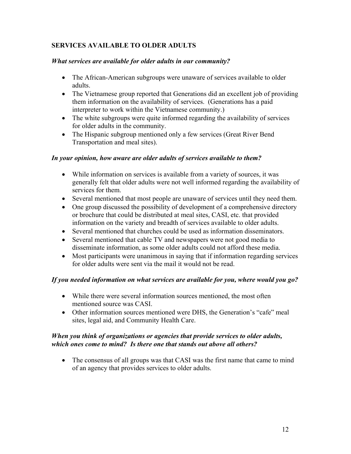#### **SERVICES AVAILABLE TO OLDER ADULTS**

#### *What services are available for older adults in our community?*

- The African-American subgroups were unaware of services available to older adults.
- The Vietnamese group reported that Generations did an excellent job of providing them information on the availability of services. (Generations has a paid interpreter to work within the Vietnamese community.)
- The white subgroups were quite informed regarding the availability of services for older adults in the community.
- The Hispanic subgroup mentioned only a few services (Great River Bend Transportation and meal sites).

#### *In your opinion, how aware are older adults of services available to them?*

- While information on services is available from a variety of sources, it was generally felt that older adults were not well informed regarding the availability of services for them.
- Several mentioned that most people are unaware of services until they need them.
- One group discussed the possibility of development of a comprehensive directory or brochure that could be distributed at meal sites, CASI, etc. that provided information on the variety and breadth of services available to older adults.
- Several mentioned that churches could be used as information disseminators.
- Several mentioned that cable TV and newspapers were not good media to disseminate information, as some older adults could not afford these media.
- Most participants were unanimous in saying that if information regarding services for older adults were sent via the mail it would not be read.

#### *If you needed information on what services are available for you, where would you go?*

- While there were several information sources mentioned, the most often mentioned source was CASI.
- Other information sources mentioned were DHS, the Generation's "cafe" meal sites, legal aid, and Community Health Care.

#### *When you think of organizations or agencies that provide services to older adults, which ones come to mind? Is there one that stands out above all others?*

• The consensus of all groups was that CASI was the first name that came to mind of an agency that provides services to older adults.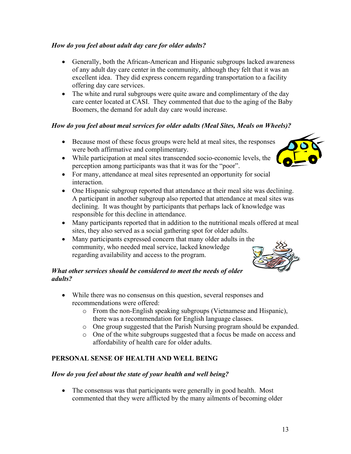13

#### *How do you feel about adult day care for older adults?*

- Generally, both the African-American and Hispanic subgroups lacked awareness of any adult day care center in the community, although they felt that it was an excellent idea. They did express concern regarding transportation to a facility offering day care services.
- The white and rural subgroups were quite aware and complimentary of the day care center located at CASI. They commented that due to the aging of the Baby Boomers, the demand for adult day care would increase.

#### *How do you feel about meal services for older adults (Meal Sites, Meals on Wheels)?*

- Because most of these focus groups were held at meal sites, the responses were both affirmative and complimentary.
- While participation at meal sites transcended socio-economic levels, the perception among participants was that it was for the "poor".
- For many, attendance at meal sites represented an opportunity for social interaction.
- One Hispanic subgroup reported that attendance at their meal site was declining. A participant in another subgroup also reported that attendance at meal sites was declining. It was thought by participants that perhaps lack of knowledge was responsible for this decline in attendance.
- Many participants reported that in addition to the nutritional meals offered at meal sites, they also served as a social gathering spot for older adults.
- Many participants expressed concern that many older adults in the community, who needed meal service, lacked knowledge regarding availability and access to the program.

#### *What other services should be considered to meet the needs of older adults?*

- While there was no consensus on this question, several responses and recommendations were offered:
	- o From the non-English speaking subgroups (Vietnamese and Hispanic), there was a recommendation for English language classes.
	- o One group suggested that the Parish Nursing program should be expanded.
	- o One of the white subgroups suggested that a focus be made on access and affordability of health care for older adults.

#### **PERSONAL SENSE OF HEALTH AND WELL BEING**

#### *How do you feel about the state of your health and well being?*

• The consensus was that participants were generally in good health. Most commented that they were afflicted by the many ailments of becoming older



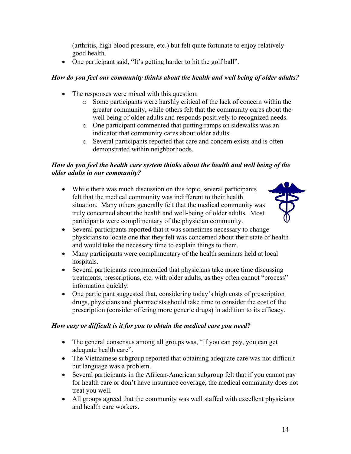(arthritis, high blood pressure, etc.) but felt quite fortunate to enjoy relatively good health.

• One participant said, "It's getting harder to hit the golf ball".

#### *How do you feel our community thinks about the health and well being of older adults?*

- The responses were mixed with this question:
	- o Some participants were harshly critical of the lack of concern within the greater community, while others felt that the community cares about the well being of older adults and responds positively to recognized needs.
	- o One participant commented that putting ramps on sidewalks was an indicator that community cares about older adults.
	- o Several participants reported that care and concern exists and is often demonstrated within neighborhoods.

#### *How do you feel the health care system thinks about the health and well being of the older adults in our community?*

• While there was much discussion on this topic, several participants felt that the medical community was indifferent to their health situation. Many others generally felt that the medical community was truly concerned about the health and well-being of older adults. Most participants were complimentary of the physician community.



- Several participants reported that it was sometimes necessary to change physicians to locate one that they felt was concerned about their state of health and would take the necessary time to explain things to them.
- Many participants were complimentary of the health seminars held at local hospitals.
- Several participants recommended that physicians take more time discussing treatments, prescriptions, etc. with older adults, as they often cannot "process" information quickly.
- One participant suggested that, considering today's high costs of prescription drugs, physicians and pharmacists should take time to consider the cost of the prescription (consider offering more generic drugs) in addition to its efficacy.

#### *How easy or difficult is it for you to obtain the medical care you need?*

- The general consensus among all groups was, "If you can pay, you can get adequate health care".
- The Vietnamese subgroup reported that obtaining adequate care was not difficult but language was a problem.
- Several participants in the African-American subgroup felt that if you cannot pay for health care or don't have insurance coverage, the medical community does not treat you well.
- All groups agreed that the community was well staffed with excellent physicians and health care workers.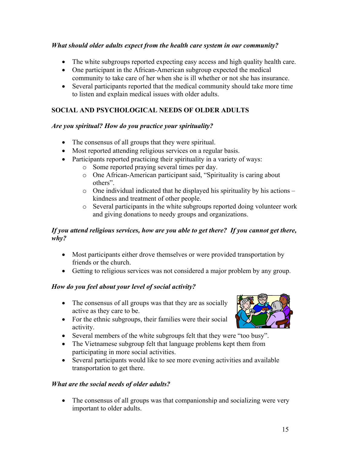#### *What should older adults expect from the health care system in our community?*

- The white subgroups reported expecting easy access and high quality health care.
- One participant in the African-American subgroup expected the medical community to take care of her when she is ill whether or not she has insurance.
- Several participants reported that the medical community should take more time to listen and explain medical issues with older adults.

### **SOCIAL AND PSYCHOLOGICAL NEEDS OF OLDER ADULTS**

#### *Are you spiritual? How do you practice your spirituality?*

- The consensus of all groups that they were spiritual.
- Most reported attending religious services on a regular basis.
- Participants reported practicing their spirituality in a variety of ways:
	- o Some reported praying several times per day.
	- o One African-American participant said, "Spirituality is caring about others".
	- $\circ$  One individual indicated that he displayed his spirituality by his actions kindness and treatment of other people.
	- o Several participants in the white subgroups reported doing volunteer work and giving donations to needy groups and organizations.

#### *If you attend religious services, how are you able to get there? If you cannot get there, why?*

- Most participants either drove themselves or were provided transportation by friends or the church.
- Getting to religious services was not considered a major problem by any group.

#### *How do you feel about your level of social activity?*

- The consensus of all groups was that they are as socially active as they care to be.
- For the ethnic subgroups, their families were their social activity.
- Several members of the white subgroups felt that they were "too busy".
- The Vietnamese subgroup felt that language problems kept them from participating in more social activities.
- Several participants would like to see more evening activities and available transportation to get there.

#### *What are the social needs of older adults?*

• The consensus of all groups was that companionship and socializing were very important to older adults.

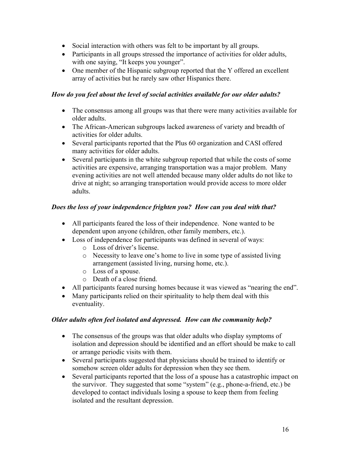- Social interaction with others was felt to be important by all groups.
- Participants in all groups stressed the importance of activities for older adults, with one saying, "It keeps you younger".
- One member of the Hispanic subgroup reported that the Y offered an excellent array of activities but he rarely saw other Hispanics there.

#### *How do you feel about the level of social activities available for our older adults?*

- The consensus among all groups was that there were many activities available for older adults.
- The African-American subgroups lacked awareness of variety and breadth of activities for older adults.
- Several participants reported that the Plus 60 organization and CASI offered many activities for older adults.
- Several participants in the white subgroup reported that while the costs of some activities are expensive, arranging transportation was a major problem. Many evening activities are not well attended because many older adults do not like to drive at night; so arranging transportation would provide access to more older adults.

#### *Does the loss of your independence frighten you? How can you deal with that?*

- All participants feared the loss of their independence. None wanted to be dependent upon anyone (children, other family members, etc.).
- Loss of independence for participants was defined in several of ways:
	- o Loss of driver's license.
	- o Necessity to leave one's home to live in some type of assisted living arrangement (assisted living, nursing home, etc.).
	- o Loss of a spouse.
	- o Death of a close friend.
- All participants feared nursing homes because it was viewed as "nearing the end".
- Many participants relied on their spirituality to help them deal with this eventuality.

#### *Older adults often feel isolated and depressed. How can the community help?*

- The consensus of the groups was that older adults who display symptoms of isolation and depression should be identified and an effort should be make to call or arrange periodic visits with them.
- Several participants suggested that physicians should be trained to identify or somehow screen older adults for depression when they see them.
- Several participants reported that the loss of a spouse has a catastrophic impact on the survivor. They suggested that some "system" (e.g., phone-a-friend, etc.) be developed to contact individuals losing a spouse to keep them from feeling isolated and the resultant depression.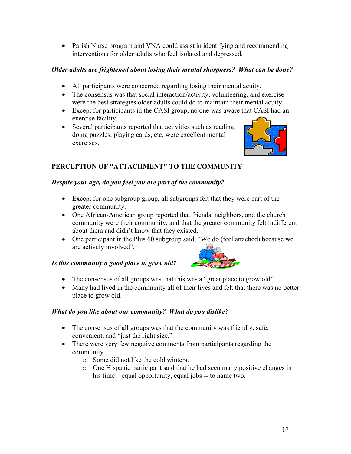• Parish Nurse program and VNA could assist in identifying and recommending interventions for older adults who feel isolated and depressed.

#### *Older adults are frightened about losing their mental sharpness? What can be done?*

- All participants were concerned regarding losing their mental acuity.
- The consensus was that social interaction/activity, volunteering, and exercise were the best strategies older adults could do to maintain their mental acuity.
- Except for participants in the CASI group, no one was aware that CASI had an exercise facility.
- Several participants reported that activities such as reading, doing puzzles, playing cards, etc. were excellent mental exercises.



### **PERCEPTION OF "ATTACHMENT" TO THE COMMUNITY**

#### *Despite your age, do you feel you are part of the community?*

- Except for one subgroup group, all subgroups felt that they were part of the greater community.
- One African-American group reported that friends, neighbors, and the church community were their community, and that the greater community felt indifferent about them and didn't know that they existed.
- One participant in the Plus 60 subgroup said, "We do (feel attached) because we are actively involved".

#### *Is this community a good place to grow old?*



- The consensus of all groups was that this was a "great place to grow old".
- Many had lived in the community all of their lives and felt that there was no better place to grow old.

#### *What do you like about our community? What do you dislike?*

- The consensus of all groups was that the community was friendly, safe, convenient, and "just the right size."
- There were very few negative comments from participants regarding the community.
	- o Some did not like the cold winters.
	- o One Hispanic participant said that he had seen many positive changes in his time  $\alpha$  equal opportunity, equal jobs  $\alpha$ - to name two.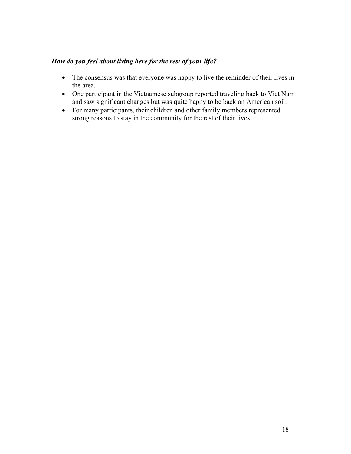#### *How do you feel about living here for the rest of your life?*

- The consensus was that everyone was happy to live the reminder of their lives in the area.
- One participant in the Vietnamese subgroup reported traveling back to Viet Nam and saw significant changes but was quite happy to be back on American soil.
- For many participants, their children and other family members represented strong reasons to stay in the community for the rest of their lives.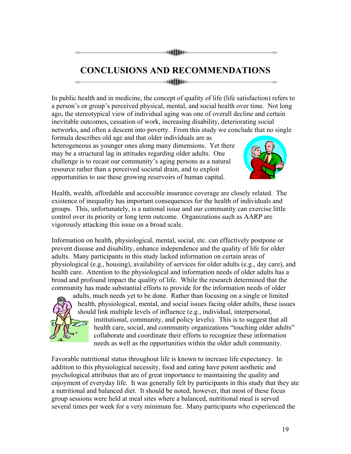#### **alllin**

## **CONCLUSIONS AND RECOMMENDATIONS**

**attiline** 

In public health and in medicine, the concept of quality of life (life satisfaction) refers to a person's or group's perceived physical, mental, and social health over time. Not long ago, the stereotypical view of individual aging was one of overall decline and certain inevitable outcomes, cessation of work, increasing disability, deteriorating social networks, and often a descent into poverty. From this study we conclude that no single

formula describes old age and that older individuals are as heterogeneous as younger ones along many dimensions. Yet there may be a structural lag in attitudes regarding older adults. One challenge is to recast our community's aging persons as a natural resource rather than a perceived societal drain, and to exploit opportunities to use these growing reservoirs of human capital.



Health, wealth, affordable and accessible insurance coverage are closely related. The existence of inequality has important consequences for the health of individuals and groups. This, unfortunately, is a national issue and our community can exercise little control over its priority or long term outcome. Organizations such as AARP are vigorously attacking this issue on a broad scale.

Information on health, physiological, mental, social, etc. can effectively postpone or prevent disease and disability, enhance independence and the quality of life for older adults. Many participants in this study lacked information on certain areas of physiological (e.g., housing), availability of services for older adults (e.g., day care), and health care. Attention to the physiological and information needs of older adults has a broad and profound impact the quality of life. While the research determined that the community has made substantial efforts to provide for the information needs of older



adults, much needs yet to be done. Rather than focusing on a single or limited health, physiological, mental, and social issues facing older adults, these issues should link multiple levels of influence (e.g., individual, interpersonal, institutional, community, and policy levels). This is to suggest that all health care, social, and community organizations "touching older adults" collaborate and coordinate their efforts to recognize these information needs as well as the opportunities within the older adult community.

Favorable nutritional status throughout life is known to increase life expectancy. In addition to this physiological necessity, food and eating have potent aesthetic and psychological attributes that are of great importance to maintaining the quality and enjoyment of everyday life. It was generally felt by participants in this study that they ate a nutritional and balanced diet. It should be noted, however, that most of these focus group sessions were held at meal sites where a balanced, nutritional meal is served several times per week for a very minimum fee. Many participants who experienced the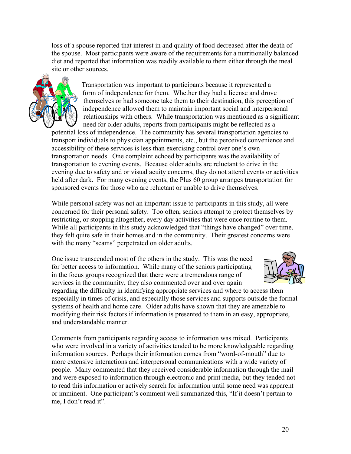loss of a spouse reported that interest in and quality of food decreased after the death of the spouse. Most participants were aware of the requirements for a nutritionally balanced diet and reported that information was readily available to them either through the meal site or other sources.



 Transportation was important to participants because it represented a form of independence for them. Whether they had a license and drove themselves or had someone take them to their destination, this perception of independence allowed them to maintain important social and interpersonal relationships with others. While transportation was mentioned as a significant need for older adults, reports from participants might be reflected as a

potential loss of independence. The community has several transportation agencies to transport individuals to physician appointments, etc., but the perceived convenience and accessibility of these services is less than exercising control over one's own transportation needs. One complaint echoed by participants was the availability of transportation to evening events. Because older adults are reluctant to drive in the evening due to safety and or visual acuity concerns, they do not attend events or activities held after dark. For many evening events, the Plus 60 group arranges transportation for sponsored events for those who are reluctant or unable to drive themselves.

While personal safety was not an important issue to participants in this study, all were concerned for their personal safety. Too often, seniors attempt to protect themselves by restricting, or stopping altogether, every day activities that were once routine to them. While all participants in this study acknowledged that "things have changed" over time, they felt quite safe in their homes and in the community. Their greatest concerns were with the many "scams" perpetrated on older adults.

One issue transcended most of the others in the study. This was the need for better access to information. While many of the seniors participating in the focus groups recognized that there were a tremendous range of services in the community, they also commented over and over again



regarding the difficulty in identifying appropriate services and where to access them especially in times of crisis, and especially those services and supports outside the formal systems of health and home care. Older adults have shown that they are amenable to modifying their risk factors if information is presented to them in an easy, appropriate, and understandable manner.

Comments from participants regarding access to information was mixed. Participants who were involved in a variety of activities tended to be more knowledgeable regarding information sources. Perhaps their information comes from "word-of-mouth" due to more extensive interactions and interpersonal communications with a wide variety of people. Many commented that they received considerable information through the mail and were exposed to information through electronic and print media, but they tended not to read this information or actively search for information until some need was apparent or imminent. One participant's comment well summarized this, "If it doesn't pertain to me, I don't read it".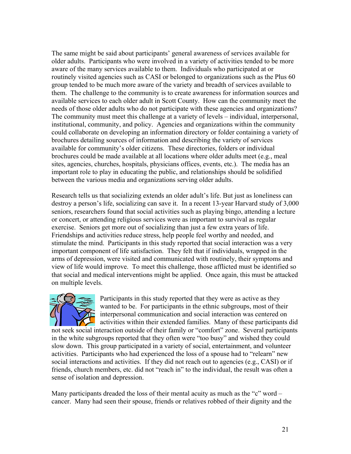The same might be said about participants' general awareness of services available for older adults. Participants who were involved in a variety of activities tended to be more aware of the many services available to them. Individuals who participated at or routinely visited agencies such as CASI or belonged to organizations such as the Plus 60 group tended to be much more aware of the variety and breadth of services available to them. The challenge to the community is to create awareness for information sources and available services to each older adult in Scott County. How can the community meet the needs of those older adults who do not participate with these agencies and organizations? The community must meet this challenge at a variety of levels – individual, interpersonal, institutional, community, and policy. Agencies and organizations within the community could collaborate on developing an information directory or folder containing a variety of brochures detailing sources of information and describing the variety of services available for community's older citizens. These directories, folders or individual brochures could be made available at all locations where older adults meet (e.g., meal sites, agencies, churches, hospitals, physicians offices, events, etc.). The media has an important role to play in educating the public, and relationships should be solidified between the various media and organizations serving older adults.

Research tells us that socializing extends an older adult's life. But just as loneliness can destroy a person's life, socializing can save it. In a recent 13-year Harvard study of 3,000 seniors, researchers found that social activities such as playing bingo, attending a lecture or concert, or attending religious services were as important to survival as regular exercise. Seniors get more out of socializing than just a few extra years of life. Friendships and activities reduce stress, help people feel worthy and needed, and stimulate the mind. Participants in this study reported that social interaction was a very important component of life satisfaction. They felt that if individuals, wrapped in the arms of depression, were visited and communicated with routinely, their symptoms and view of life would improve. To meet this challenge, those afflicted must be identified so that social and medical interventions might be applied. Once again, this must be attacked on multiple levels.



Participants in this study reported that they were as active as they wanted to be. For participants in the ethnic subgroups, most of their interpersonal communication and social interaction was centered on activities within their extended families. Many of these participants did

not seek social interaction outside of their family or "comfort" zone. Several participants in the white subgroups reported that they often were "too busy" and wished they could slow down. This group participated in a variety of social, entertainment, and volunteer activities. Participants who had experienced the loss of a spouse had to "relearn" new social interactions and activities. If they did not reach out to agencies (e.g., CASI) or if friends, church members, etc. did not "reach in" to the individual, the result was often a sense of isolation and depression.

Many participants dreaded the loss of their mental acuity as much as the "c" word  $\overline{\phantom{a}}$ cancer. Many had seen their spouse, friends or relatives robbed of their dignity and the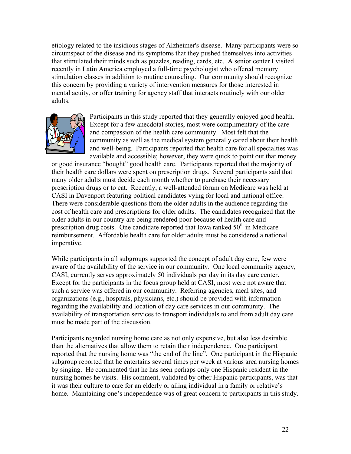etiology related to the insidious stages of Alzheimer's disease. Many participants were so circumspect of the disease and its symptoms that they pushed themselves into activities that stimulated their minds such as puzzles, reading, cards, etc. A senior center I visited recently in Latin America employed a full-time psychologist who offered memory stimulation classes in addition to routine counseling. Our community should recognize this concern by providing a variety of intervention measures for those interested in mental acuity, or offer training for agency staff that interacts routinely with our older adults.



Participants in this study reported that they generally enjoyed good health. Except for a few anecdotal stories, most were complimentary of the care and compassion of the health care community. Most felt that the community as well as the medical system generally cared about their health and well-being. Participants reported that health care for all specialties was available and accessible; however, they were quick to point out that money

or good insurance "bought" good health care. Participants reported that the majority of their health care dollars were spent on prescription drugs. Several participants said that many older adults must decide each month whether to purchase their necessary prescription drugs or to eat. Recently, a well-attended forum on Medicare was held at CASI in Davenport featuring political candidates vying for local and national office. There were considerable questions from the older adults in the audience regarding the cost of health care and prescriptions for older adults. The candidates recognized that the older adults in our country are being rendered poor because of health care and prescription drug costs. One candidate reported that Iowa ranked  $50<sup>th</sup>$  in Medicare reimbursement. Affordable health care for older adults must be considered a national imperative.

While participants in all subgroups supported the concept of adult day care, few were aware of the availability of the service in our community. One local community agency, CASI, currently serves approximately 50 individuals per day in its day care center. Except for the participants in the focus group held at CASI, most were not aware that such a service was offered in our community. Referring agencies, meal sites, and organizations (e.g., hospitals, physicians, etc.) should be provided with information regarding the availability and location of day care services in our community. The availability of transportation services to transport individuals to and from adult day care must be made part of the discussion.

Participants regarded nursing home care as not only expensive, but also less desirable than the alternatives that allow them to retain their independence. One participant reported that the nursing home was "the end of the line". One participant in the Hispanic subgroup reported that he entertains several times per week at various area nursing homes by singing. He commented that he has seen perhaps only one Hispanic resident in the nursing homes he visits. His comment, validated by other Hispanic participants, was that it was their culture to care for an elderly or ailing individual in a family or relative's home. Maintaining one's independence was of great concern to participants in this study.